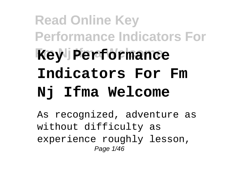## **Read Online Key Performance Indicators For Key Performance Indicators For Fm Nj Ifma Welcome**

As recognized, adventure as without difficulty as experience roughly lesson, Page 1/46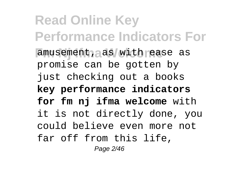**Read Online Key Performance Indicators For** amusement, as with ease as promise can be gotten by just checking out a books **key performance indicators for fm nj ifma welcome** with it is not directly done, you could believe even more not far off from this life, Page 2/46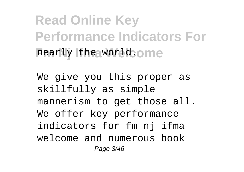**Read Online Key Performance Indicators For**  $\frac{1}{2}$  rearly the world. One

We give you this proper as skillfully as simple mannerism to get those all. We offer key performance indicators for fm nj ifma welcome and numerous book Page 3/46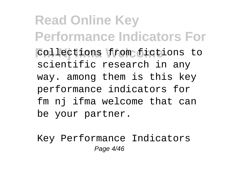**Read Online Key Performance Indicators For Fm Nj Ifma Welcome** collections from fictions to scientific research in any way. among them is this key performance indicators for fm nj ifma welcome that can be your partner.

Key Performance Indicators Page 4/46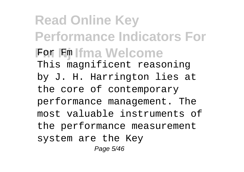**Read Online Key Performance Indicators For For Fm Ifma Welcome** This magnificent reasoning by J. H. Harrington lies at the core of contemporary performance management. The most valuable instruments of the performance measurement system are the Key Page 5/46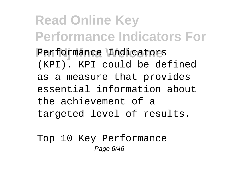**Read Online Key Performance Indicators For** Performance Indicators (KPI). KPI could be defined as a measure that provides essential information about the achievement of a targeted level of results.

Top 10 Key Performance Page 6/46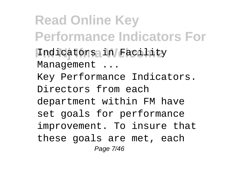**Read Online Key Performance Indicators For Fm Nj Ifma Welcome** Indicators in Facility Management ... Key Performance Indicators. Directors from each department within FM have set goals for performance improvement. To insure that these goals are met, each Page 7/46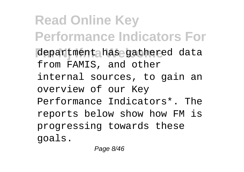**Read Online Key Performance Indicators For** department has gathered data from FAMIS, and other internal sources, to gain an overview of our Key Performance Indicators\*. The reports below show how FM is progressing towards these goals.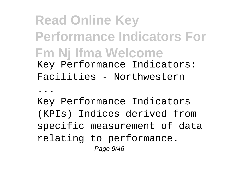## **Read Online Key Performance Indicators For Fm Nj Ifma Welcome** Key Performance Indicators: Facilities - Northwestern

...

Key Performance Indicators (KPIs) Indices derived from specific measurement of data relating to performance. Page 9/46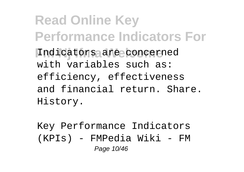**Read Online Key Performance Indicators For** Indicators are concerned with variables such as: efficiency, effectiveness and financial return. Share. History.

Key Performance Indicators (KPIs) - FMPedia Wiki - FM Page 10/46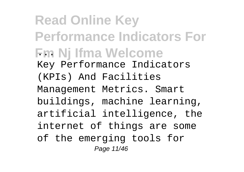**Read Online Key Performance Indicators For Fm Nj Ifma Welcome** Key Performance Indicators (KPIs) And Facilities Management Metrics. Smart buildings, machine learning, artificial intelligence, the internet of things are some of the emerging tools for Page 11/46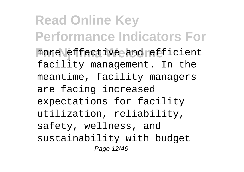**Read Online Key Performance Indicators For** more effective and efficient facility management. In the meantime, facility managers are facing increased expectations for facility utilization, reliability, safety, wellness, and sustainability with budget Page 12/46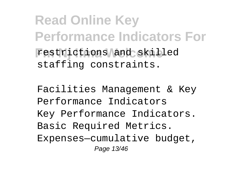**Read Online Key Performance Indicators For** restrictions and skilled staffing constraints.

Facilities Management & Key Performance Indicators Key Performance Indicators. Basic Required Metrics. Expenses—cumulative budget, Page 13/46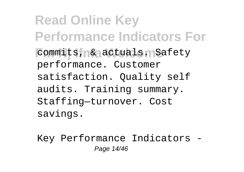**Read Online Key Performance Indicators For Fommits, & actuals. Safety** performance. Customer satisfaction. Quality self audits. Training summary. Staffing—turnover. Cost savings.

Key Performance Indicators - Page 14/46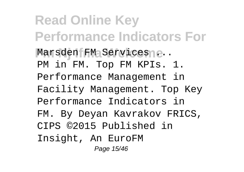**Read Online Key Performance Indicators For** Marsden FM Services e.. PM in FM. Top FM KPIs. 1. Performance Management in Facility Management. Top Key Performance Indicators in FM. By Deyan Kavrakov FRICS, CIPS ©2015 Published in Insight, An EuroFM Page 15/46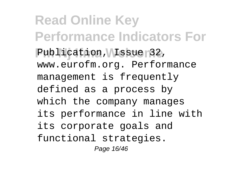**Read Online Key Performance Indicators For** Publication, *Issue* 32, www.eurofm.org. Performance management is frequently defined as a process by which the company manages its performance in line with its corporate goals and functional strategies. Page 16/46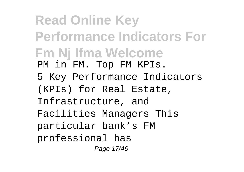**Read Online Key Performance Indicators For Fm Nj Ifma Welcome** PM in FM. Top FM KPIs. 5 Key Performance Indicators (KPIs) for Real Estate, Infrastructure, and Facilities Managers This particular bank's FM professional has Page 17/46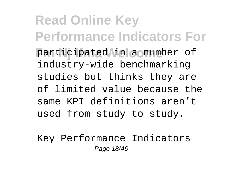**Read Online Key Performance Indicators For** participated in a number of industry-wide benchmarking studies but thinks they are of limited value because the same KPI definitions aren't used from study to study.

Key Performance Indicators Page 18/46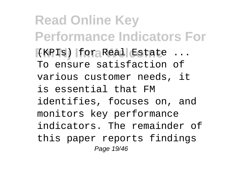**Read Online Key Performance Indicators For Fm Nj Ifma Welcome** (KPIs) for Real Estate ... To ensure satisfaction of various customer needs, it is essential that FM identifies, focuses on, and monitors key performance indicators. The remainder of this paper reports findings Page 19/46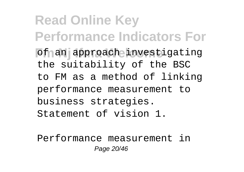**Read Online Key Performance Indicators For** of an approach investigating the suitability of the BSC to FM as a method of linking performance measurement to business strategies. Statement of vision 1.

Performance measurement in Page 20/46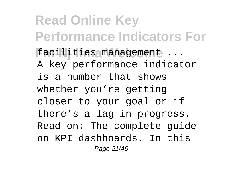**Read Online Key Performance Indicators For** facilities management ... A key performance indicator is a number that shows whether you're getting closer to your goal or if there's a lag in progress. Read on: The complete guide on KPI dashboards. In this Page 21/46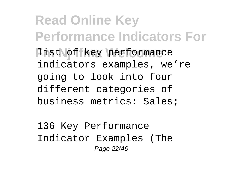**Read Online Key Performance Indicators For Iist of key performance** indicators examples, we're going to look into four different categories of business metrics: Sales;

136 Key Performance Indicator Examples (The Page 22/46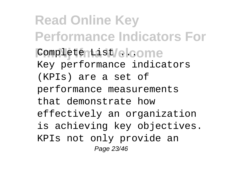**Read Online Key Performance Indicators For Fm Nj Ifma Welcome** Complete List ... Key performance indicators (KPIs) are a set of performance measurements that demonstrate how effectively an organization is achieving key objectives. KPIs not only provide an Page 23/46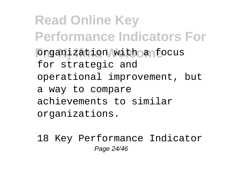**Read Online Key Performance Indicators For** *<u>Organization</u>* with a focus for strategic and operational improvement, but a way to compare achievements to similar organizations.

18 Key Performance Indicator Page 24/46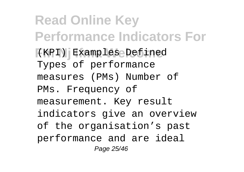**Read Online Key Performance Indicators For Fm Nj Ifma Welcome** (KPI) Examples Defined Types of performance measures (PMs) Number of PMs. Frequency of measurement. Key result indicators give an overview of the organisation's past performance and are ideal Page 25/46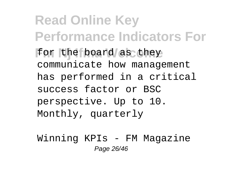**Read Online Key Performance Indicators For** for the board as they communicate how management has performed in a critical success factor or BSC perspective. Up to 10. Monthly, quarterly

Winning KPIs - FM Magazine Page 26/46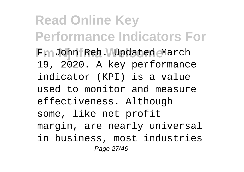**Read Online Key Performance Indicators For** Fm John Reh. Updated March 19, 2020. A key performance indicator (KPI) is a value used to monitor and measure effectiveness. Although some, like net profit margin, are nearly universal in business, most industries Page 27/46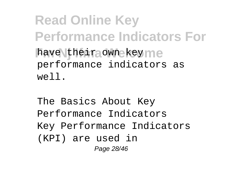**Read Online Key Performance Indicators For** have their own key me performance indicators as well.

The Basics About Key Performance Indicators Key Performance Indicators (KPI) are used in Page 28/46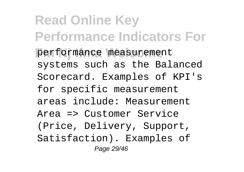**Read Online Key Performance Indicators For Fm Nj Ifma Welcome** performance measurement systems such as the Balanced Scorecard. Examples of KPI's for specific measurement areas include: Measurement Area => Customer Service (Price, Delivery, Support, Satisfaction). Examples of Page 29/46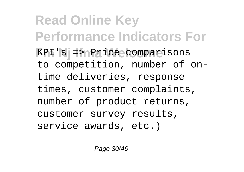**Read Online Key Performance Indicators For Fm Nj Ifma Welcome** KPI's => Price comparisons to competition, number of ontime deliveries, response times, customer complaints, number of product returns, customer survey results, service awards, etc.)

Page 30/46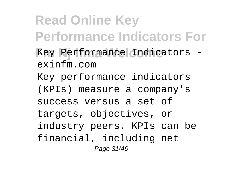**Read Online Key Performance Indicators For** Key Performance Indicators exinfm.com Key performance indicators (KPIs) measure a company's success versus a set of targets, objectives, or industry peers. KPIs can be financial, including net Page 31/46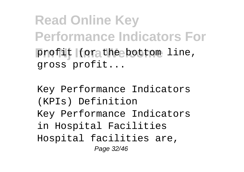**Read Online Key Performance Indicators For** profit (or the bottom line, gross profit...

Key Performance Indicators (KPIs) Definition Key Performance Indicators in Hospital Facilities Hospital facilities are, Page 32/46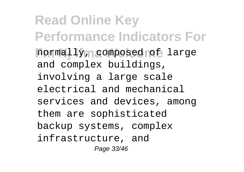**Read Online Key Performance Indicators For** normally, composed of large and complex buildings, involving a large scale electrical and mechanical services and devices, among them are sophisticated backup systems, complex infrastructure, and Page 33/46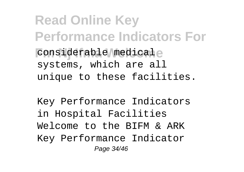**Read Online Key Performance Indicators For**  $$ systems, which are all unique to these facilities.

Key Performance Indicators in Hospital Facilities Welcome to the BIFM & ARK Key Performance Indicator Page 34/46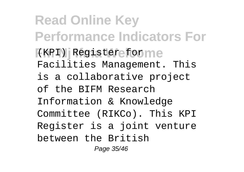**Read Online Key Performance Indicators For Fm Nj Ifma Welcome** (KPI) Register for Facilities Management. This is a collaborative project of the BIFM Research Information & Knowledge Committee (RIKCo). This KPI Register is a joint venture between the British Page 35/46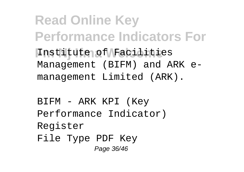**Read Online Key Performance Indicators For Fm Nj Ifma Welcome** Institute of Facilities Management (BIFM) and ARK emanagement Limited (ARK).

BIFM - ARK KPI (Key Performance Indicator) Register File Type PDF Key Page 36/46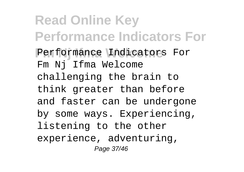**Read Online Key Performance Indicators For** Performance Indicators For Fm Nj Ifma Welcome challenging the brain to think greater than before and faster can be undergone by some ways. Experiencing, listening to the other experience, adventuring, Page 37/46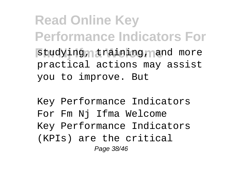**Read Online Key Performance Indicators For** studying, training, and more practical actions may assist you to improve. But

Key Performance Indicators For Fm Nj Ifma Welcome Key Performance Indicators (KPIs) are the critical Page 38/46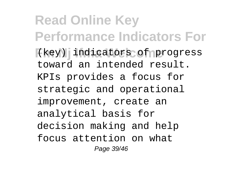**Read Online Key Performance Indicators For Fm Nj Ifma Welcome** (key) indicators of progress toward an intended result. KPIs provides a focus for strategic and operational improvement, create an analytical basis for decision making and help focus attention on what Page 39/46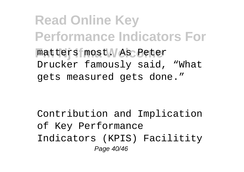**Read Online Key Performance Indicators For Fm Nj Ifma Welcome** matters most. As Peter Drucker famously said, "What gets measured gets done."

Contribution and Implication of Key Performance Indicators (KPIS) Facilitity Page 40/46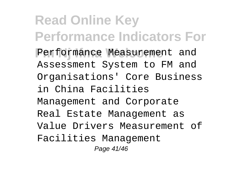**Read Online Key Performance Indicators For** Performance Measurement and Assessment System to FM and Organisations' Core Business in China Facilities Management and Corporate Real Estate Management as Value Drivers Measurement of Facilities Management Page 41/46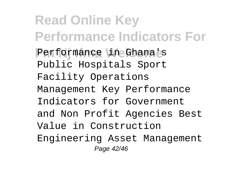**Read Online Key Performance Indicators For** Performance in Ghana's Public Hospitals Sport Facility Operations Management Key Performance Indicators for Government and Non Profit Agencies Best Value in Construction Engineering Asset Management Page 42/46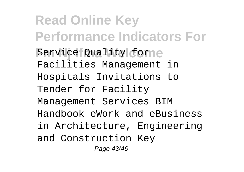**Read Online Key Performance Indicators For Service Quality forme** Facilities Management in Hospitals Invitations to Tender for Facility Management Services BIM Handbook eWork and eBusiness in Architecture, Engineering and Construction Key Page 43/46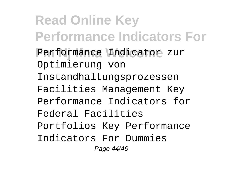**Read Online Key Performance Indicators For** Performance Indicator zur Optimierung von Instandhaltungsprozessen Facilities Management Key Performance Indicators for Federal Facilities Portfolios Key Performance Indicators For Dummies Page 44/46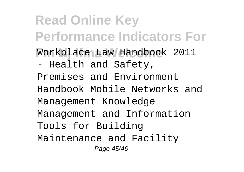**Read Online Key Performance Indicators For Fm Nj Ifma Welcome** Workplace Law Handbook 2011 - Health and Safety, Premises and Environment Handbook Mobile Networks and Management Knowledge Management and Information Tools for Building Maintenance and Facility Page 45/46